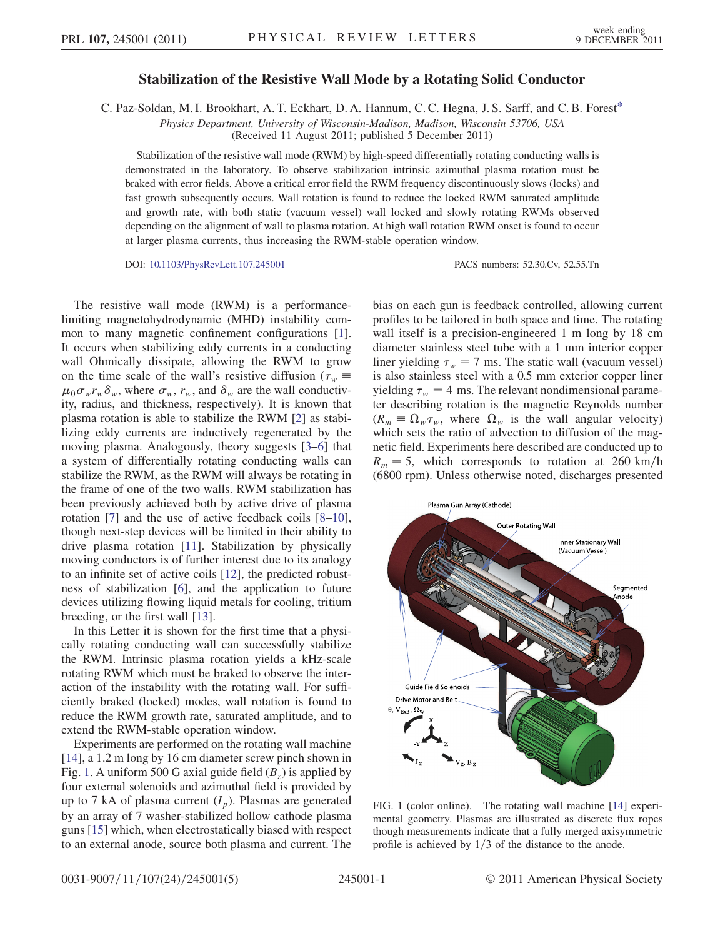## Stabilization of the Resistive Wall Mode by a Rotating Solid Conductor

<span id="page-0-1"></span>C. Paz-Soldan, M. I. Brookhart, A. T. Eckhart, D. A. Hannum, C. C. Hegna, J. S. Sarff, and C. B. Fores[t\\*](#page-3-0)

Physics Department, University of Wisconsin-Madison, Madison, Wisconsin 53706, USA

(Received 11 August 2011; published 5 December 2011)

Stabilization of the resistive wall mode (RWM) by high-speed differentially rotating conducting walls is demonstrated in the laboratory. To observe stabilization intrinsic azimuthal plasma rotation must be braked with error fields. Above a critical error field the RWM frequency discontinuously slows (locks) and fast growth subsequently occurs. Wall rotation is found to reduce the locked RWM saturated amplitude and growth rate, with both static (vacuum vessel) wall locked and slowly rotating RWMs observed depending on the alignment of wall to plasma rotation. At high wall rotation RWM onset is found to occur at larger plasma currents, thus increasing the RWM-stable operation window.

DOI: [10.1103/PhysRevLett.107.245001](http://dx.doi.org/10.1103/PhysRevLett.107.245001) PACS numbers: 52.30.Cv, 52.55.Tn

The resistive wall mode (RWM) is a performancelimiting magnetohydrodynamic (MHD) instability common to many magnetic confinement configurations [[1\]](#page-3-1). It occurs when stabilizing eddy currents in a conducting wall Ohmically dissipate, allowing the RWM to grow on the time scale of the wall's resistive diffusion ( $\tau_w$ )  $\mu_0 \sigma_w r_w \delta_w$ , where  $\sigma_w$ ,  $r_w$ , and  $\delta_w$  are the wall conductivity, radius, and thickness, respectively). It is known that plasma rotation is able to stabilize the RWM [[2](#page-3-2)] as stabilizing eddy currents are inductively regenerated by the moving plasma. Analogously, theory suggests [[3](#page-3-3)[–6\]](#page-4-0) that a system of differentially rotating conducting walls can stabilize the RWM, as the RWM will always be rotating in the frame of one of the two walls. RWM stabilization has been previously achieved both by active drive of plasma rotation [\[7](#page-4-1)] and the use of active feedback coils [\[8](#page-4-2)–[10\]](#page-4-3), though next-step devices will be limited in their ability to drive plasma rotation [\[11\]](#page-4-4). Stabilization by physically moving conductors is of further interest due to its analogy to an infinite set of active coils [[12](#page-4-5)], the predicted robustness of stabilization [\[6](#page-4-0)], and the application to future devices utilizing flowing liquid metals for cooling, tritium breeding, or the first wall [[13](#page-4-6)].

In this Letter it is shown for the first time that a physically rotating conducting wall can successfully stabilize the RWM. Intrinsic plasma rotation yields a kHz-scale rotating RWM which must be braked to observe the interaction of the instability with the rotating wall. For sufficiently braked (locked) modes, wall rotation is found to reduce the RWM growth rate, saturated amplitude, and to extend the RWM-stable operation window.

Experiments are performed on the rotating wall machine [\[14\]](#page-4-7), a 1.2 m long by 16 cm diameter screw pinch shown in Fig. [1](#page-0-0). A uniform 500 G axial guide field  $(B<sub>z</sub>)$  is applied by four external solenoids and azimuthal field is provided by up to 7 kA of plasma current  $(I_p)$ . Plasmas are generated by an array of 7 washer-stabilized hollow cathode plasma guns [\[15\]](#page-4-8) which, when electrostatically biased with respect to an external anode, source both plasma and current. The bias on each gun is feedback controlled, allowing current profiles to be tailored in both space and time. The rotating wall itself is a precision-engineered 1 m long by 18 cm diameter stainless steel tube with a 1 mm interior copper liner yielding  $\tau_w = 7$  ms. The static wall (vacuum vessel) is also stainless steel with a 0.5 mm exterior copper liner yielding  $\tau_w = 4$  ms. The relevant nondimensional parameter describing rotation is the magnetic Reynolds number  $(R_m \equiv \Omega_w \tau_w$ , where  $\Omega_w$  is the wall angular velocity) which sets the ratio of advection to diffusion of the magnetic field. Experiments here described are conducted up to  $R_m = 5$ , which corresponds to rotation at 260 km/h (6800 rpm). Unless otherwise noted, discharges presented

<span id="page-0-0"></span>

FIG. 1 (color online). The rotating wall machine [\[14\]](#page-4-7) experimental geometry. Plasmas are illustrated as discrete flux ropes though measurements indicate that a fully merged axisymmetric profile is achieved by  $1/3$  of the distance to the anode.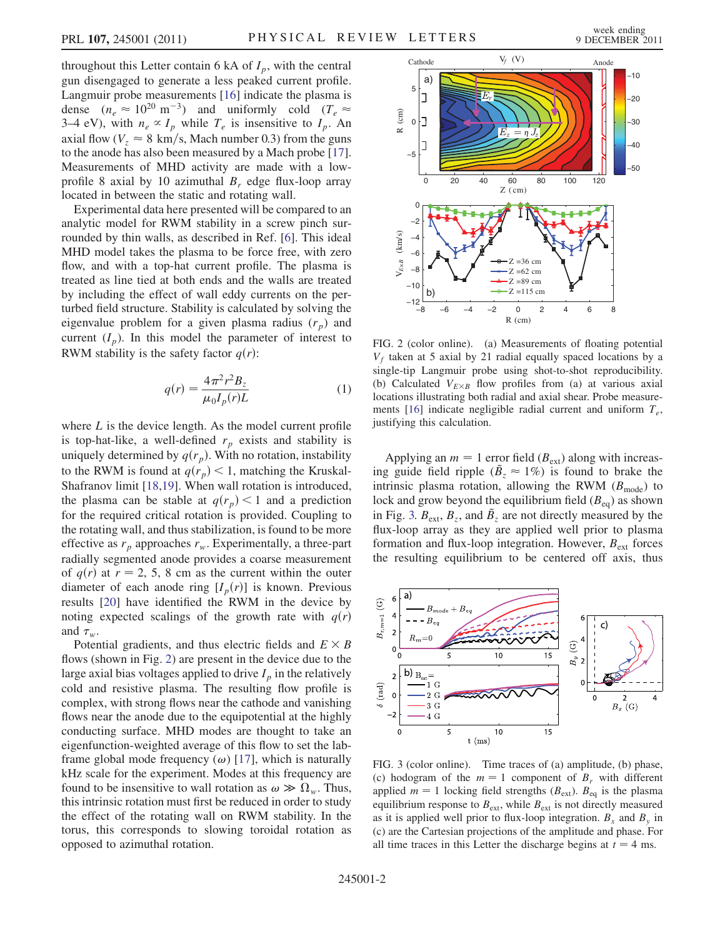throughout this Letter contain 6 kA of  $I_p$ , with the central gun disengaged to generate a less peaked current profile. Langmuir probe measurements [\[16\]](#page-4-9) indicate the plasma is dense  $(n_e \approx 10^{20} \text{ m}^{-3})$  and uniformly cold  $(T_e \approx$ 3–4 eV), with  $n_e \propto I_p$  while  $T_e$  is insensitive to  $I_p$ . An axial flow ( $V_z \approx 8 \text{ km/s}$ , Mach number 0.3) from the guns to the anode has also been measured by a Mach probe [[17\]](#page-4-10). Measurements of MHD activity are made with a lowprofile 8 axial by 10 azimuthal  $B_r$  edge flux-loop array located in between the static and rotating wall.

Experimental data here presented will be compared to an analytic model for RWM stability in a screw pinch surrounded by thin walls, as described in Ref. [\[6\]](#page-4-0). This ideal MHD model takes the plasma to be force free, with zero flow, and with a top-hat current profile. The plasma is treated as line tied at both ends and the walls are treated by including the effect of wall eddy currents on the perturbed field structure. Stability is calculated by solving the eigenvalue problem for a given plasma radius  $(r_p)$  and current  $(I_p)$ . In this model the parameter of interest to RWM stability is the safety factor  $q(r)$ :

$$
q(r) = \frac{4\pi^2 r^2 B_z}{\mu_0 I_p(r) L}
$$
 (1)

where  $L$  is the device length. As the model current profile is top-hat-like, a well-defined  $r_p$  exists and stability is uniquely determined by  $q(r_p)$ . With no rotation, instability to the RWM is found at  $q(r_p) < 1$ , matching the Kruskal-Shafranov limit [[18](#page-4-11),[19](#page-4-12)]. When wall rotation is introduced, the plasma can be stable at  $q(r_p) < 1$  and a prediction for the required critical rotation is provided. Coupling to the rotating wall, and thus stabilization, is found to be more effective as  $r_p$  approaches  $r_w$ . Experimentally, a three-part radially segmented anode provides a coarse measurement of  $q(r)$  at  $r = 2, 5, 8$  cm as the current within the outer diameter of each anode ring  $[I_p(r)]$  is known. Previous results [[20](#page-4-13)] have identified the RWM in the device by noting expected scalings of the growth rate with  $q(r)$ and  $\tau_w$ .

Potential gradients, and thus electric fields and  $E \times B$ flows (shown in Fig. [2](#page-1-0)) are present in the device due to the large axial bias voltages applied to drive  $I_p$  in the relatively cold and resistive plasma. The resulting flow profile is complex, with strong flows near the cathode and vanishing flows near the anode due to the equipotential at the highly conducting surface. MHD modes are thought to take an eigenfunction-weighted average of this flow to set the labframe global mode frequency  $(\omega)$  [\[17\]](#page-4-10), which is naturally kHz scale for the experiment. Modes at this frequency are found to be insensitive to wall rotation as  $\omega \gg \Omega_w$ . Thus, this intrinsic rotation must first be reduced in order to study the effect of the rotating wall on RWM stability. In the torus, this corresponds to slowing toroidal rotation as opposed to azimuthal rotation.

<span id="page-1-0"></span>

FIG. 2 (color online). (a) Measurements of floating potential  $V_f$  taken at 5 axial by 21 radial equally spaced locations by a single-tip Langmuir probe using shot-to-shot reproducibility. (b) Calculated  $V_{E\times B}$  flow profiles from (a) at various axial locations illustrating both radial and axial shear. Probe measure-ments [\[16\]](#page-4-9) indicate negligible radial current and uniform  $T_e$ , justifying this calculation.

Applying an  $m = 1$  error field ( $B_{ext}$ ) along with increasing guide field ripple  $(\tilde{B}_z \approx 1\%)$  is found to brake the intrinsic plasma rotation, allowing the RWM  $(B_{\text{mode}})$  to lock and grow beyond the equilibrium field  $(B_{eq})$  as shown in Fig. [3.](#page-1-1)  $B_{ext}$ ,  $B_z$ , and  $B_z$  are not directly measured by the flux-loop array as they are applied well prior to plasma formation and flux-loop integration. However,  $B_{ext}$  forces the resulting equilibrium to be centered off axis, thus

<span id="page-1-1"></span>

<span id="page-1-2"></span>FIG. 3 (color online). Time traces of (a) amplitude, (b) phase, (c) hodogram of the  $m = 1$  component of  $B_r$  with different applied  $m = 1$  locking field strengths ( $B_{ext}$ ).  $B_{eq}$  is the plasma equilibrium response to  $B_{ext}$ , while  $B_{ext}$  is not directly measured as it is applied well prior to flux-loop integration.  $B_x$  and  $B_y$  in (c) are the Cartesian projections of the amplitude and phase. For all time traces in this Letter the discharge begins at  $t = 4$  ms.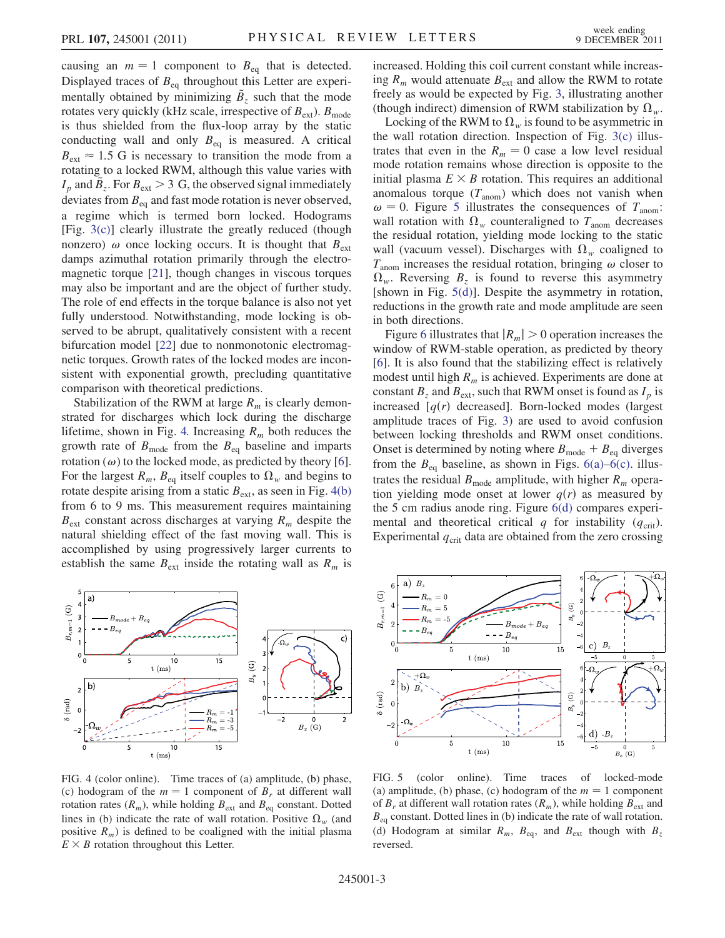causing an  $m = 1$  component to  $B_{eq}$  that is detected. Displayed traces of  $B_{eq}$  throughout this Letter are experimentally obtained by minimizing  $\tilde{B}_z$  such that the mode rotates very quickly (kHz scale, irrespective of  $B_{ext}$ ).  $B_{mode}$ is thus shielded from the flux-loop array by the static conducting wall and only  $B_{eq}$  is measured. A critical  $B_{\text{ext}} \approx 1.5$  G is necessary to transition the mode from a rotating to a locked RWM, although this value varies with  $I_p$  and  $\ddot{B}_z$ . For  $B_{ext} > 3$  G, the observed signal immediately deviates from  $B_{eq}$  and fast mode rotation is never observed, a regime which is termed born locked. Hodograms [Fig. [3\(c\)](#page-1-2)] clearly illustrate the greatly reduced (though nonzero)  $\omega$  once locking occurs. It is thought that  $B_{\text{ext}}$ damps azimuthal rotation primarily through the electromagnetic torque [\[21\]](#page-4-14), though changes in viscous torques may also be important and are the object of further study. The role of end effects in the torque balance is also not yet fully understood. Notwithstanding, mode locking is observed to be abrupt, qualitatively consistent with a recent bifurcation model [[22](#page-4-15)] due to nonmonotonic electromagnetic torques. Growth rates of the locked modes are inconsistent with exponential growth, precluding quantitative comparison with theoretical predictions.

Stabilization of the RWM at large  $R_m$  is clearly demonstrated for discharges which lock during the discharge lifetime, shown in Fig. [4.](#page-2-0) Increasing  $R_m$  both reduces the growth rate of  $B_{\text{mode}}$  from the  $B_{\text{eq}}$  baseline and imparts rotation  $(\omega)$  to the locked mode, as predicted by theory [[6\]](#page-4-0). For the largest  $R_m$ ,  $B_{eq}$  itself couples to  $\Omega_w$  and begins to rotate despite arising from a static  $B_{ext}$ , as seen in Fig. [4\(b\)](#page-2-1) from 6 to 9 ms. This measurement requires maintaining  $B_{\text{ext}}$  constant across discharges at varying  $R_m$  despite the natural shielding effect of the fast moving wall. This is accomplished by using progressively larger currents to establish the same  $B_{ext}$  inside the rotating wall as  $R_m$  is

<span id="page-2-0"></span>

<span id="page-2-1"></span>FIG. 4 (color online). Time traces of (a) amplitude, (b) phase, (c) hodogram of the  $m = 1$  component of  $B_r$  at different wall rotation rates  $(R_m)$ , while holding  $B_{ext}$  and  $B_{eq}$  constant. Dotted lines in (b) indicate the rate of wall rotation. Positive  $\Omega_w$  (and positive  $R_m$ ) is defined to be coaligned with the initial plasma  $E \times B$  rotation throughout this Letter.

increased. Holding this coil current constant while increasing  $R_m$  would attenuate  $B_{ext}$  and allow the RWM to rotate freely as would be expected by Fig. [3,](#page-1-1) illustrating another (though indirect) dimension of RWM stabilization by  $\Omega_w$ .

Locking of the RWM to  $\Omega_w$  is found to be asymmetric in the wall rotation direction. Inspection of Fig. [3\(c\)](#page-1-2) illustrates that even in the  $R_m = 0$  case a low level residual mode rotation remains whose direction is opposite to the initial plasma  $E \times B$  rotation. This requires an additional anomalous torque  $(T_{\text{anom}})$  which does not vanish when  $\omega = 0$ . Figure [5](#page-2-2) illustrates the consequences of  $T_{\text{anom}}$ : wall rotation with  $\Omega_w$  counteraligned to  $T_{\text{anom}}$  decreases the residual rotation, yielding mode locking to the static wall (vacuum vessel). Discharges with  $\Omega_w$  coaligned to  $T_{\text{anom}}$  increases the residual rotation, bringing  $\omega$  closer to  $\Omega_w$ . Reversing  $B_z$  is found to reverse this asymmetry [shown in Fig. [5\(d\)](#page-2-3)]. Despite the asymmetry in rotation, reductions in the growth rate and mode amplitude are seen in both directions.

Figure [6](#page-3-4) illustrates that  $|R_m| > 0$  operation increases the window of RWM-stable operation, as predicted by theory [\[6\]](#page-4-0). It is also found that the stabilizing effect is relatively modest until high  $R_m$  is achieved. Experiments are done at constant  $B_z$  and  $B_{ext}$ , such that RWM onset is found as  $I_p$  is increased  $[q(r)]$  decreased]. Born-locked modes (largest amplitude traces of Fig. [3\)](#page-1-1) are used to avoid confusion between locking thresholds and RWM onset conditions. Onset is determined by noting where  $B_{\text{mode}} + B_{\text{eq}}$  diverges from the  $B_{eq}$  baseline, as shown in Figs. [6\(a\)–6\(c\)](#page-3-5). illustrates the residual  $B_{\text{mode}}$  amplitude, with higher  $R_m$  operation yielding mode onset at lower  $q(r)$  as measured by the 5 cm radius anode ring. Figure [6\(d\)](#page-3-5) compares experimental and theoretical critical q for instability  $(q_{\text{crit}})$ . Experimental  $q_{\text{crit}}$  data are obtained from the zero crossing

<span id="page-2-2"></span>

<span id="page-2-3"></span>FIG. 5 (color online). Time traces of locked-mode (a) amplitude, (b) phase, (c) hodogram of the  $m = 1$  component of  $B_r$  at different wall rotation rates  $(R_m)$ , while holding  $B_{ext}$  and  $B_{eq}$  constant. Dotted lines in (b) indicate the rate of wall rotation. (d) Hodogram at similar  $R_m$ ,  $B_{eq}$ , and  $B_{ext}$  though with  $B_z$ reversed.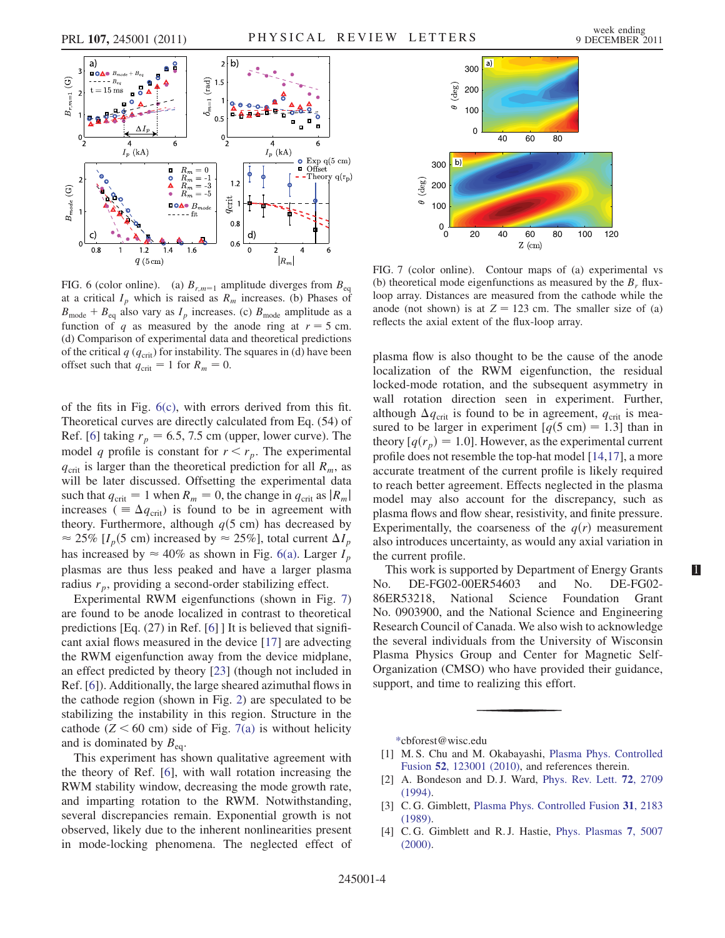<span id="page-3-4"></span>

<span id="page-3-5"></span>FIG. 6 (color online). (a)  $B_{r,m=1}$  amplitude diverges from  $B_{eq}$ at a critical  $I_p$  which is raised as  $R_m$  increases. (b) Phases of  $B_{\text{mode}} + B_{\text{eq}}$  also vary as  $I_p$  increases. (c)  $B_{\text{mode}}$  amplitude as a function of q as measured by the anode ring at  $r = 5$  cm. (d) Comparison of experimental data and theoretical predictions of the critical  $q$  ( $q_{\text{crit}}$ ) for instability. The squares in (d) have been offset such that  $q_{\text{crit}} = 1$  for  $R_m = 0$ .

of the fits in Fig. [6\(c\),](#page-3-5) with errors derived from this fit. Theoretical curves are directly calculated from Eq. (54) of Ref. [[6](#page-4-0)] taking  $r_p = 6.5, 7.5$  cm (upper, lower curve). The model q profile is constant for  $r < r_p$ . The experimental  $q_{\text{crit}}$  is larger than the theoretical prediction for all  $R_m$ , as will be later discussed. Offsetting the experimental data such that  $q_{\text{crit}} = 1$  when  $R_m = 0$ , the change in  $q_{\text{crit}}$  as  $|R_m|$ increases ( $\equiv \Delta q_{\text{crit}}$ ) is found to be in agreement with theory. Furthermore, although  $q(5 \text{ cm})$  has decreased by  $\approx$  25% [ $I_p$ (5 cm) increased by  $\approx$  25%], total current  $\Delta I_p$ has increased by  $\approx 40\%$  as shown in Fig. [6\(a\).](#page-3-5) Larger  $I_p$ plasmas are thus less peaked and have a larger plasma radius  $r_p$ , providing a second-order stabilizing effect.

Experimental RWM eigenfunctions (shown in Fig. [7\)](#page-3-6) are found to be anode localized in contrast to theoretical predictions [Eq. (27) in Ref. [\[6](#page-4-0)] ] It is believed that significant axial flows measured in the device [[17](#page-4-10)] are advecting the RWM eigenfunction away from the device midplane, an effect predicted by theory [[23](#page-4-16)] (though not included in Ref. [\[6](#page-4-0)]). Additionally, the large sheared azimuthal flows in the cathode region (shown in Fig. [2\)](#page-1-0) are speculated to be stabilizing the instability in this region. Structure in the cathode ( $Z < 60$  cm) side of Fig. [7\(a\)](#page-3-7) is without helicity and is dominated by  $B_{eq}$ .

This experiment has shown qualitative agreement with the theory of Ref. [[6](#page-4-0)], with wall rotation increasing the RWM stability window, decreasing the mode growth rate, and imparting rotation to the RWM. Notwithstanding, several discrepancies remain. Exponential growth is not observed, likely due to the inherent nonlinearities present in mode-locking phenomena. The neglected effect of

<span id="page-3-6"></span>

<span id="page-3-7"></span>FIG. 7 (color online). Contour maps of (a) experimental vs (b) theoretical mode eigenfunctions as measured by the  $B_r$  fluxloop array. Distances are measured from the cathode while the anode (not shown) is at  $Z = 123$  cm. The smaller size of (a) reflects the axial extent of the flux-loop array.

plasma flow is also thought to be the cause of the anode localization of the RWM eigenfunction, the residual locked-mode rotation, and the subsequent asymmetry in wall rotation direction seen in experiment. Further, although  $\Delta q_{\text{crit}}$  is found to be in agreement,  $q_{\text{crit}}$  is measured to be larger in experiment  $[q(5 \text{ cm}) = 1.3]$  than in theory  $[q(r_p) = 1.0]$ . However, as the experimental current profile does not resemble the top-hat model [[14](#page-4-7)[,17](#page-4-10)], a more accurate treatment of the current profile is likely required to reach better agreement. Effects neglected in the plasma model may also account for the discrepancy, such as plasma flows and flow shear, resistivity, and finite pressure. Experimentally, the coarseness of the  $q(r)$  measurement also introduces uncertainty, as would any axial variation in the current profile.

This work is supported by Department of Energy Grants No. DE-FG02-00ER54603 and No. DE-FG02- 86ER53218, National Science Foundation Grant No. 0903900, and the National Science and Engineering Research Council of Canada. We also wish to acknowledge the several individuals from the University of Wisconsin Plasma Physics Group and Center for Magnetic Self-Organization (CMSO) who have provided their guidance, support, and time to realizing this effort.

<span id="page-3-0"></span>[\\*c](#page-0-1)bforest@wisc.edu

- <span id="page-3-1"></span>[1] M. S. Chu and M. Okabayashi, [Plasma Phys. Controlled](http://dx.doi.org/10.1088/0741-3335/52/12/123001) Fusion 52[, 123001 \(2010\)](http://dx.doi.org/10.1088/0741-3335/52/12/123001), and references therein.
- <span id="page-3-2"></span>[2] A. Bondeson and D. J. Ward, [Phys. Rev. Lett.](http://dx.doi.org/10.1103/PhysRevLett.72.2709) 72, 2709 [\(1994\)](http://dx.doi.org/10.1103/PhysRevLett.72.2709).
- <span id="page-3-3"></span>[3] C. G. Gimblett, [Plasma Phys. Controlled Fusion](http://dx.doi.org/10.1088/0741-3335/31/14/008) 31, 2183 [\(1989\)](http://dx.doi.org/10.1088/0741-3335/31/14/008).
- [4] C. G. Gimblett and R. J. Hastie, [Phys. Plasmas](http://dx.doi.org/10.1063/1.1319333) 7, 5007 [\(2000\)](http://dx.doi.org/10.1063/1.1319333).